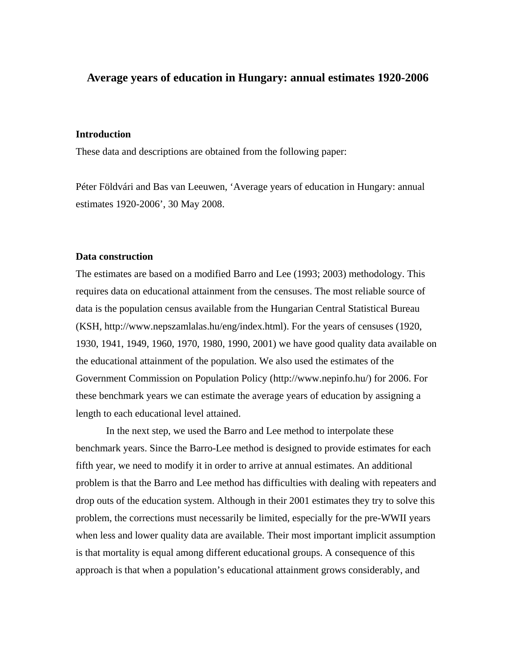## **Average years of education in Hungary: annual estimates 1920-2006**

## **Introduction**

These data and descriptions are obtained from the following paper:

Péter Földvári and Bas van Leeuwen, 'Average years of education in Hungary: annual estimates 1920-2006', 30 May 2008.

## **Data construction**

The estimates are based on a modified Barro and Lee (1993; 2003) methodology. This requires data on educational attainment from the censuses. The most reliable source of data is the population census available from the Hungarian Central Statistical Bureau (KSH, http://www.nepszamlalas.hu/eng/index.html). For the years of censuses (1920, 1930, 1941, 1949, 1960, 1970, 1980, 1990, 2001) we have good quality data available on the educational attainment of the population. We also used the estimates of the Government Commission on Population Policy (http://www.nepinfo.hu/) for 2006. For these benchmark years we can estimate the average years of education by assigning a length to each educational level attained.

 In the next step, we used the Barro and Lee method to interpolate these benchmark years. Since the Barro-Lee method is designed to provide estimates for each fifth year, we need to modify it in order to arrive at annual estimates. An additional problem is that the Barro and Lee method has difficulties with dealing with repeaters and drop outs of the education system. Although in their 2001 estimates they try to solve this problem, the corrections must necessarily be limited, especially for the pre-WWII years when less and lower quality data are available. Their most important implicit assumption is that mortality is equal among different educational groups. A consequence of this approach is that when a population's educational attainment grows considerably, and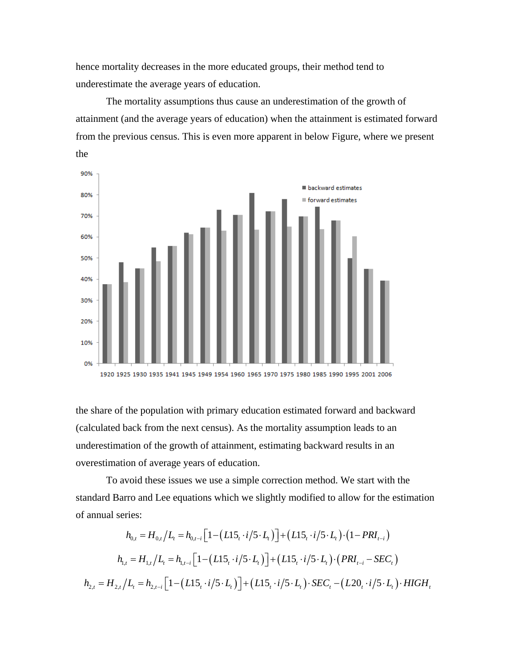hence mortality decreases in the more educated groups, their method tend to underestimate the average years of education.

 The mortality assumptions thus cause an underestimation of the growth of attainment (and the average years of education) when the attainment is estimated forward from the previous census. This is even more apparent in below Figure, where we present the



the share of the population with primary education estimated forward and backward (calculated back from the next census). As the mortality assumption leads to an underestimation of the growth of attainment, estimating backward results in an overestimation of average years of education.

 To avoid these issues we use a simple correction method. We start with the standard Barro and Lee equations which we slightly modified to allow for the estimation of annual series:

$$
h_{0,t} = H_{0,t}/L_t = h_{0,t-i} \Big[ 1 - \Big(L15_t \cdot i/5 \cdot L_t \Big) \Big] + \Big(L15_t \cdot i/5 \cdot L_t \Big) \cdot \Big( 1 - PRI_{t-i} \Big)
$$
  
\n
$$
h_{1,t} = H_{1,t}/L_t = h_{1,t-i} \Big[ 1 - \Big(L15_t \cdot i/5 \cdot L_t \Big) \Big] + \Big(L15_t \cdot i/5 \cdot L_t \Big) \cdot \Big(PRI_{t-i} - SEC_t \Big)
$$
  
\n
$$
h_{2,t} = H_{2,t}/L_t = h_{2,t-i} \Big[ 1 - \Big(L15_t \cdot i/5 \cdot L_t \Big) \Big] + \Big(L15_t \cdot i/5 \cdot L_t \Big) \cdot SEC_t - \Big(L20_t \cdot i/5 \cdot L_t \Big) \cdot HIGH_t
$$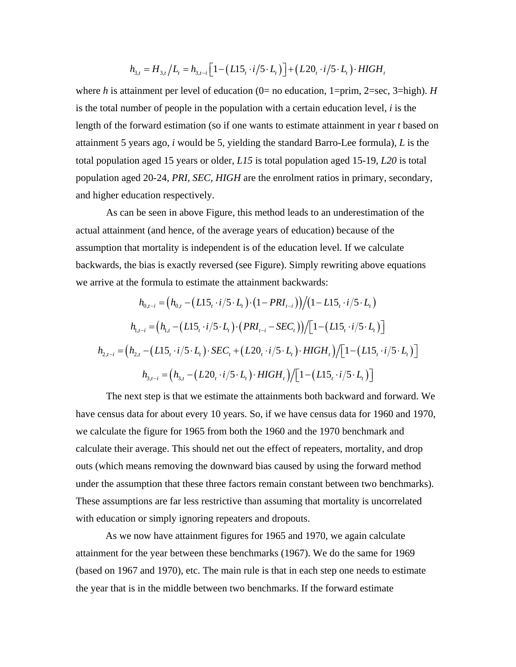$$
h_{3,t} = H_{3,t}/L_t = h_{3,t-i} \left[ 1 - \left( L15_t \cdot i / 5 \cdot L_t \right) \right] + \left( L20_t \cdot i / 5 \cdot L_t \right) \cdot HIGH_t
$$

where *h* is attainment per level of education (0= no education, 1=prim, 2=sec, 3=high). *H* is the total number of people in the population with a certain education level, *i* is the length of the forward estimation (so if one wants to estimate attainment in year *t* based on attainment 5 years ago, *i* would be 5, yielding the standard Barro-Lee formula), *L* is the total population aged 15 years or older, *L15* is total population aged 15-19, *L20* is total population aged 20-24, *PRI, SEC, HIGH* are the enrolment ratios in primary, secondary, and higher education respectively.

 As can be seen in above Figure, this method leads to an underestimation of the actual attainment (and hence, of the average years of education) because of the assumption that mortality is independent is of the education level. If we calculate backwards, the bias is exactly reversed (see Figure). Simply rewriting above equations we arrive at the formula to estimate the attainment backwards:

$$
h_{0,t-i} = (h_{0,t} - (L15, \cdot i/5 \cdot L_t) \cdot (1 - PRI_{t-i})) / (1 - L15, \cdot i/5 \cdot L_t)
$$
  
\n
$$
h_{1,t-i} = (h_{1,t} - (L15, \cdot i/5 \cdot L_t) \cdot (PRI_{t-i} - SEC_t)) / [1 - (L15, \cdot i/5 \cdot L_t)]
$$
  
\n
$$
h_{2,t-i} = (h_{2,t} - (L15, \cdot i/5 \cdot L_t) \cdot SEC_t + (L20, \cdot i/5 \cdot L_t) \cdot HIGH_t) / [1 - (L15, \cdot i/5 \cdot L_t)]
$$
  
\n
$$
h_{3,t-i} = (h_{3,t} - (L20, \cdot i/5 \cdot L_t) \cdot HIGH_t) / [1 - (L15, \cdot i/5 \cdot L_t)]
$$

 The next step is that we estimate the attainments both backward and forward. We have census data for about every 10 years. So, if we have census data for 1960 and 1970, we calculate the figure for 1965 from both the 1960 and the 1970 benchmark and calculate their average. This should net out the effect of repeaters, mortality, and drop outs (which means removing the downward bias caused by using the forward method under the assumption that these three factors remain constant between two benchmarks). These assumptions are far less restrictive than assuming that mortality is uncorrelated with education or simply ignoring repeaters and dropouts.

As we now have attainment figures for 1965 and 1970, we again calculate attainment for the year between these benchmarks (1967). We do the same for 1969 (based on 1967 and 1970), etc. The main rule is that in each step one needs to estimate the year that is in the middle between two benchmarks. If the forward estimate